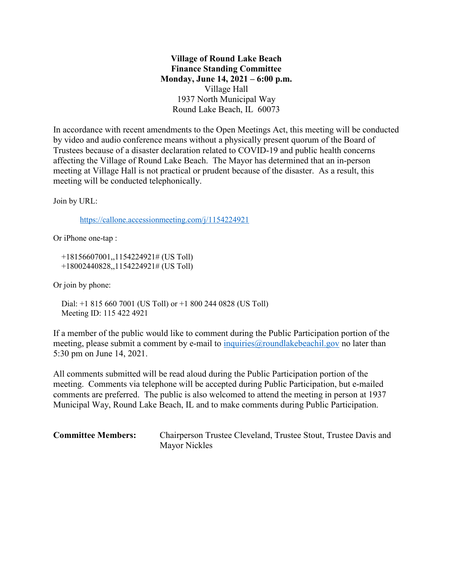**Village of Round Lake Beach Finance Standing Committee Monday, June 14, 2021 – 6:00 p.m.** Village Hall 1937 North Municipal Way Round Lake Beach, IL 60073

In accordance with recent amendments to the Open Meetings Act, this meeting will be conducted by video and audio conference means without a physically present quorum of the Board of Trustees because of a disaster declaration related to COVID-19 and public health concerns affecting the Village of Round Lake Beach. The Mayor has determined that an in-person meeting at Village Hall is not practical or prudent because of the disaster. As a result, this meeting will be conducted telephonically.

Join by URL:

<https://callone.accessionmeeting.com/j/1154224921>

Or iPhone one-tap :

 +18156607001,,1154224921# (US Toll) +18002440828,,1154224921# (US Toll)

Or join by phone:

 Dial: +1 815 660 7001 (US Toll) or +1 800 244 0828 (US Toll) Meeting ID: 115 422 4921

If a member of the public would like to comment during the Public Participation portion of the meeting, please submit a comment by e-mail to inquiries  $\omega$  roundlake beachil.gov no later than 5:30 pm on June 14, 2021.

All comments submitted will be read aloud during the Public Participation portion of the meeting. Comments via telephone will be accepted during Public Participation, but e-mailed comments are preferred. The public is also welcomed to attend the meeting in person at 1937 Municipal Way, Round Lake Beach, IL and to make comments during Public Participation.

**Committee Members:** Chairperson Trustee Cleveland, Trustee Stout, Trustee Davis and Mayor Nickles